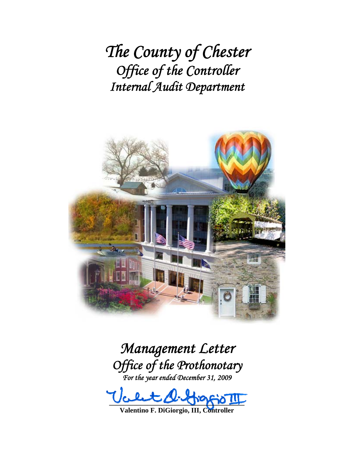*The County of Chester Office of the Controller Internal Audit Department*



*Management Letter Office of the Prothonotary For the year ended December 31, 2009* 

 $100 - 00 - 00 - 00 - 00 - 00$ 

**Valentino F. DiGiorgio, III, Controller**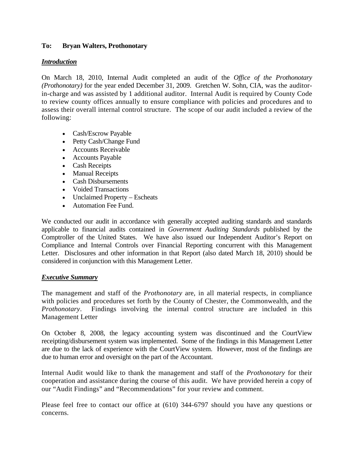## **To: Bryan Walters, Prothonotary**

### *Introduction*

On March 18, 2010, Internal Audit completed an audit of the *Office of the Prothonotary (Prothonotary)* for the year ended December 31, 2009. Gretchen W. Sohn, CIA, was the auditorin-charge and was assisted by 1 additional auditor. Internal Audit is required by County Code to review county offices annually to ensure compliance with policies and procedures and to assess their overall internal control structure. The scope of our audit included a review of the following:

- Cash/Escrow Payable
- Petty Cash/Change Fund
- Accounts Receivable
- Accounts Payable
- Cash Receipts
- Manual Receipts
- Cash Disbursements
- Voided Transactions
- Unclaimed Property Escheats
- Automation Fee Fund.

We conducted our audit in accordance with generally accepted auditing standards and standards applicable to financial audits contained in *Government Auditing Standards* published by the Comptroller of the United States. We have also issued our Independent Auditor's Report on Compliance and Internal Controls over Financial Reporting concurrent with this Management Letter. Disclosures and other information in that Report (also dated March 18, 2010) should be considered in conjunction with this Management Letter.

### *Executive Summary*

The management and staff of the *Prothonotary* are, in all material respects, in compliance with policies and procedures set forth by the County of Chester, the Commonwealth, and the *Prothonotary*. Findings involving the internal control structure are included in this Management Letter

On October 8, 2008, the legacy accounting system was discontinued and the CourtView receipting/disbursement system was implemented. Some of the findings in this Management Letter are due to the lack of experience with the CourtView system. However, most of the findings are due to human error and oversight on the part of the Accountant.

Internal Audit would like to thank the management and staff of the *Prothonotary* for their cooperation and assistance during the course of this audit. We have provided herein a copy of our "Audit Findings" and "Recommendations" for your review and comment.

Please feel free to contact our office at (610) 344-6797 should you have any questions or concerns.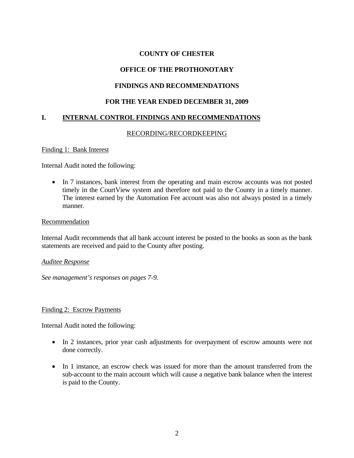## **OFFICE OF THE PROTHONOTARY**

## **FINDINGS AND RECOMMENDATIONS**

## **FOR THE YEAR ENDED DECEMBER 31, 2009**

## **I. INTERNAL CONTROL FINDINGS AND RECOMMENDATIONS**

### RECORDING/RECORDKEEPING

Finding 1: Bank Interest

Internal Audit noted the following:

• In 7 instances, bank interest from the operating and main escrow accounts was not posted timely in the CourtView system and therefore not paid to the County in a timely manner. The interest earned by the Automation Fee account was also not always posted in a timely manner.

#### Recommendation

Internal Audit recommends that all bank account interest be posted to the books as soon as the bank statements are received and paid to the County after posting.

#### *Auditee Response*

*See management's responses on pages 7-9.* 

#### Finding 2: Escrow Payments

Internal Audit noted the following:

- In 2 instances, prior year cash adjustments for overpayment of escrow amounts were not done correctly.
- In 1 instance, an escrow check was issued for more than the amount transferred from the sub-account to the main account which will cause a negative bank balance when the interest is paid to the County.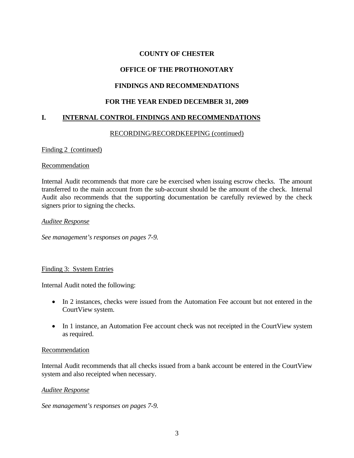## **OFFICE OF THE PROTHONOTARY**

## **FINDINGS AND RECOMMENDATIONS**

## **FOR THE YEAR ENDED DECEMBER 31, 2009**

## **I. INTERNAL CONTROL FINDINGS AND RECOMMENDATIONS**

### RECORDING/RECORDKEEPING (continued)

#### Finding 2 (continued)

#### Recommendation

Internal Audit recommends that more care be exercised when issuing escrow checks. The amount transferred to the main account from the sub-account should be the amount of the check. Internal Audit also recommends that the supporting documentation be carefully reviewed by the check signers prior to signing the checks.

#### *Auditee Response*

*See management's responses on pages 7-9.* 

### Finding 3: System Entries

Internal Audit noted the following:

- In 2 instances, checks were issued from the Automation Fee account but not entered in the CourtView system.
- In 1 instance, an Automation Fee account check was not receipted in the CourtView system as required.

### Recommendation

Internal Audit recommends that all checks issued from a bank account be entered in the CourtView system and also receipted when necessary.

### *Auditee Response*

*See management's responses on pages 7-9.*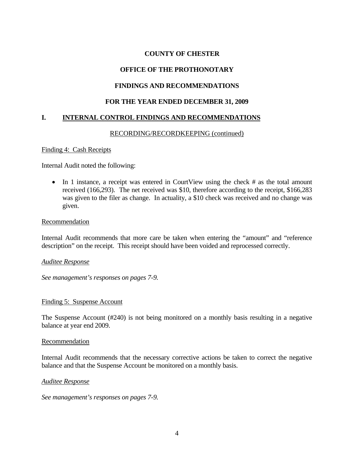## **OFFICE OF THE PROTHONOTARY**

## **FINDINGS AND RECOMMENDATIONS**

### **FOR THE YEAR ENDED DECEMBER 31, 2009**

## **I. INTERNAL CONTROL FINDINGS AND RECOMMENDATIONS**

### RECORDING/RECORDKEEPING (continued)

Finding 4: Cash Receipts

Internal Audit noted the following:

• In 1 instance, a receipt was entered in CourtView using the check # as the total amount received (166,293). The net received was \$10, therefore according to the receipt, \$166,283 was given to the filer as change. In actuality, a \$10 check was received and no change was given.

#### Recommendation

Internal Audit recommends that more care be taken when entering the "amount" and "reference description" on the receipt. This receipt should have been voided and reprocessed correctly.

*Auditee Response*

*See management's responses on pages 7-9.* 

#### Finding 5: Suspense Account

The Suspense Account (#240) is not being monitored on a monthly basis resulting in a negative balance at year end 2009.

#### Recommendation

Internal Audit recommends that the necessary corrective actions be taken to correct the negative balance and that the Suspense Account be monitored on a monthly basis.

#### *Auditee Response*

*See management's responses on pages 7-9.*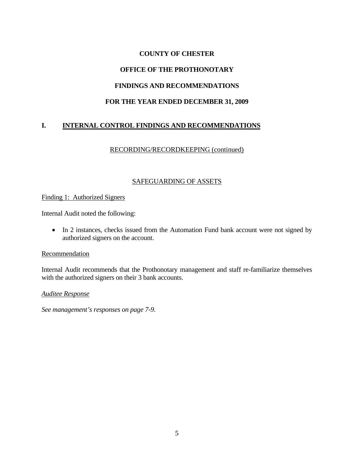## **OFFICE OF THE PROTHONOTARY**

## **FINDINGS AND RECOMMENDATIONS**

## **FOR THE YEAR ENDED DECEMBER 31, 2009**

# **I. INTERNAL CONTROL FINDINGS AND RECOMMENDATIONS**

## RECORDING/RECORDKEEPING (continued)

### SAFEGUARDING OF ASSETS

#### Finding 1: Authorized Signers

Internal Audit noted the following:

• In 2 instances, checks issued from the Automation Fund bank account were not signed by authorized signers on the account.

#### Recommendation

Internal Audit recommends that the Prothonotary management and staff re-familiarize themselves with the authorized signers on their 3 bank accounts.

#### *Auditee Response*

*See management's responses on page 7-9.*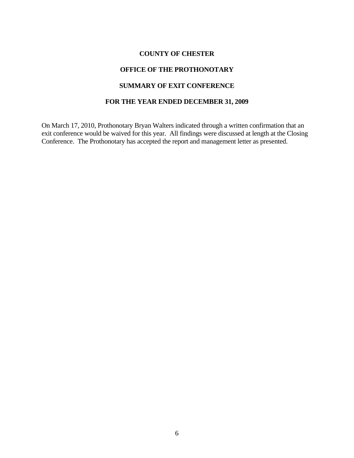## **OFFICE OF THE PROTHONOTARY**

### **SUMMARY OF EXIT CONFERENCE**

## **FOR THE YEAR ENDED DECEMBER 31, 2009**

On March 17, 2010, Prothonotary Bryan Walters indicated through a written confirmation that an exit conference would be waived for this year. All findings were discussed at length at the Closing Conference. The Prothonotary has accepted the report and management letter as presented.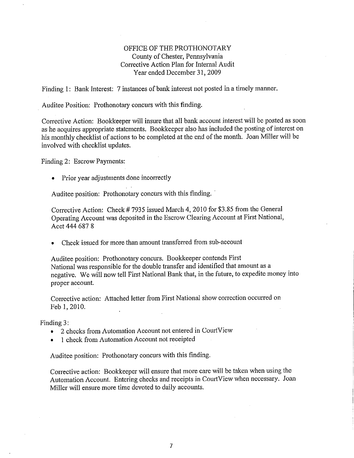### OFFICE OF THE PROTHONOTARY County of Chester, Pennsylvania Corrective Action Plan for Internal Audit Year ended December 31, 2009

Finding 1: Bank Interest: 7 instances of bank interest not posted in a timely manner.

Auditee Position: Prothonotary concurs with this finding.

Corrective Action: Bookkeeper will insure that all bank account interest will be posted as soon as he acquires appropriate statements. Bookkeeper also has included the posting of interest on his monthly checklist of actions to be completed at the end of the month. Joan Miller will be involved with checklist updates.

Finding 2: Escrow Payments:

• Prior year adjustments done incorrectly

Auditee position: Prothonotary concurs with this finding.

Corrective Action: Check #7935 issued March 4, 2010 for \$3.85 from the General Operating Account was deposited in the Escrow Clearing Account at First National, Acct 444 687 8

Check issued for more than amount transferred from sub-account

Auditee position: Prothonotary concurs. Bookkeeper contends First National was responsible for the double transfer and identified that amount as a negative. We will now tell First National Bank that, in the future, to expedite money into proper account.

Corrective action: Attached letter from First National show correction occurred on Feb 1, 2010.

Finding 3:

- 2 checks from Automation Account not entered in CourtView  $\bullet$
- 1 check from Automation Account not receipted

Auditee position: Prothonotary concurs with this finding.

Corrective action: Bookkeeper will ensure that more care will be taken when using the Automation Account. Entering checks and receipts in CourtView when necessary. Joan Miller will ensure more time devoted to daily accounts.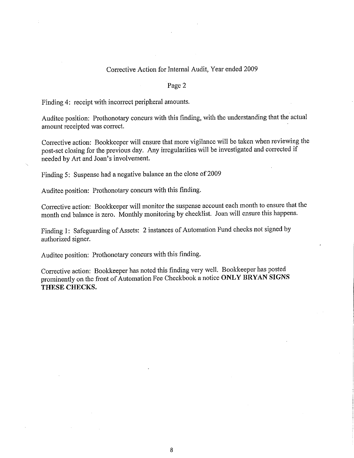#### Corrective Action for Internal Audit, Year ended 2009

#### Page 2

Finding 4: receipt with incorrect peripheral amounts.

Auditee position: Prothonotary concurs with this finding, with the understanding that the actual amount receipted was correct.

Corrective action: Bookkeeper will ensure that more vigilance will be taken when reviewing the post-set closing for the previous day. Any irregularities will be investigated and corrected if needed by Art and Joan's involvement.

Finding 5: Suspense had a negative balance an the close of 2009

Auditee position: Prothonotary concurs with this finding.

Corrective action: Bookkeeper will monitor the suspense account each month to ensure that the month end balance is zero. Monthly monitoring by checklist. Joan will ensure this happens.

Finding 1: Safeguarding of Assets: 2 instances of Automation Fund checks not signed by authorized signer.

Auditee position: Prothonotary concurs with this finding.

Corrective action: Bookkeeper has noted this finding very well. Bookkeeper has posted prominently on the front of Automation Fee Checkbook a notice ONLY BRYAN SIGNS THESE CHECKS.